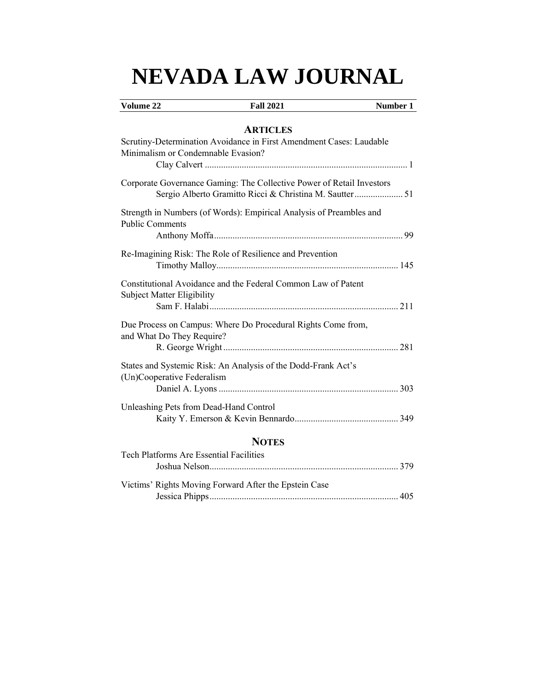# **NEVADA LAW JOURNAL**

# **Volume 22 Fall 2021 Number 1**

# **ARTICLES**

| Scrutiny-Determination Avoidance in First Amendment Cases: Laudable<br>Minimalism or Condemnable Evasion?                        |  |
|----------------------------------------------------------------------------------------------------------------------------------|--|
| Corporate Governance Gaming: The Collective Power of Retail Investors<br>Sergio Alberto Gramitto Ricci & Christina M. Sautter 51 |  |
| Strength in Numbers (of Words): Empirical Analysis of Preambles and<br><b>Public Comments</b>                                    |  |
| Re-Imagining Risk: The Role of Resilience and Prevention                                                                         |  |
| Constitutional Avoidance and the Federal Common Law of Patent<br><b>Subject Matter Eligibility</b>                               |  |
| Due Process on Campus: Where Do Procedural Rights Come from,<br>and What Do They Require?                                        |  |
| States and Systemic Risk: An Analysis of the Dodd-Frank Act's<br>(Un)Cooperative Federalism                                      |  |
| Unleashing Pets from Dead-Hand Control                                                                                           |  |
| NATES                                                                                                                            |  |

# **NOTES**

| Tech Platforms Are Essential Facilities               |  |
|-------------------------------------------------------|--|
| Victims' Rights Moving Forward After the Epstein Case |  |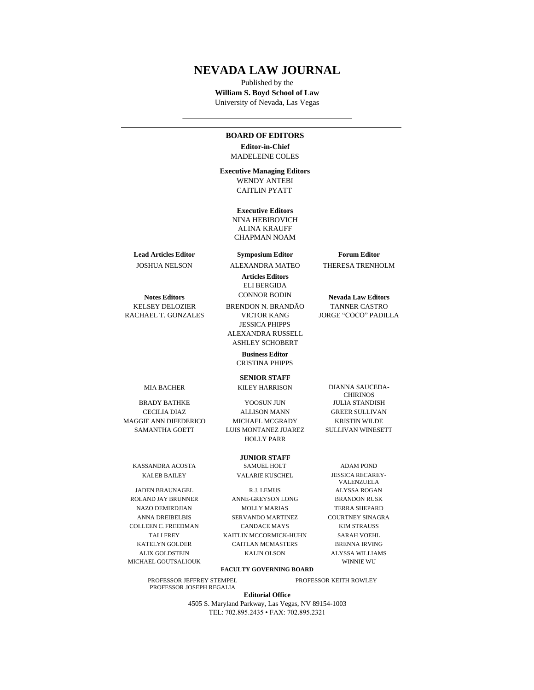# **NEVADA LAW JOURNAL**

Published by the **William S. Boyd School of Law**  University of Nevada, Las Vegas

#### **BOARD OF EDITORS**

**Editor-in-Chief** MADELEINE COLES

**Executive Managing Editors** WENDY ANTEBI CAITLIN PYATT

> **Executive Editors** NINA HEBIBOVICH ALINA KRAUFF CHAPMAN NOAM

**Lead Articles Editor Symposium Editor Forum Editor**

**Articles Editors**

ELI BERGIDA

BRENDON N. BRANDÃO

JESSICA PHIPPS ALEXANDRA RUSSELL

JOSHUA NELSON ALEXANDRA MATEO THERESA TRENHOLM

**Notes Editors** CONNOR BODIN **Nevada Law Editors**<br> **NELSEY DELOZIER** BRENDON N. BRANDÃO TANNER CASTRO

ASHLEY SCHOBERT **Business Editor**

CRISTINA PHIPPS

**SENIOR STAFF** MIA BACHER KILEY HARRISON DIANNA SAUCEDA-

MAGGIE ANN DIFEDERICO MICHAEL MCGRADY KRISTIN WILDE

KASSANDRA ACOSTA SAMUEL HOLT ADAM POND

MICHAEL GOUTSALIOUK WINNIE WU

PROFESSOR JEFFREY STEMPEL PROFESSOR KEITH ROWLEY PROFESSOR JOSEPH REGALIA

BRADY BATHKE YOOSUN JUN JULIA STANDISH CECILIA DIAZ ALLISON MANN GREER SULLIVAN SAMANTHA GOETT LUIS MONTANEZ JUAREZ SULLIVAN WINESETT HOLLY PARR

## **JUNIOR STAFF**

KALEB BAILEY VALARIE KUSCHEL JESSICA RECAREY-

JADEN BRAUNAGEL R.J. LEMUS ALYSSA ROGAN ROLAND JAY BRUNNER ANNE-GREYSON LONG BRANDON RUSK NAZO DEMIRDJIAN MOLLY MARIAS TERRA SHEPARD ANNA DREIBELBIS SERVANDO MARTINEZ COURTNEY SINAGRA COLLEEN C. FREEDMAN CANDACE MAYS KIM STRAUSS TALI FREY KAITLIN MCCORMICK-HUHN SARAH VOEHL KATELYN GOLDER CAITLAN MCMASTERS BRENNA IRVING ALIX GOLDSTEIN KALIN OLSON ALYSSA WILLIAMS

VALENZUELA

**FACULTY GOVERNING BOARD**

**Editorial Office** 

4505 S. Maryland Parkway, Las Vegas, NV 89154-1003 TEL: 702.895.2435 • FAX: 702.895.2321

RACHAEL T. GONZALES VICTOR KANG JORGE "COCO" PADILLA

CHIRINOS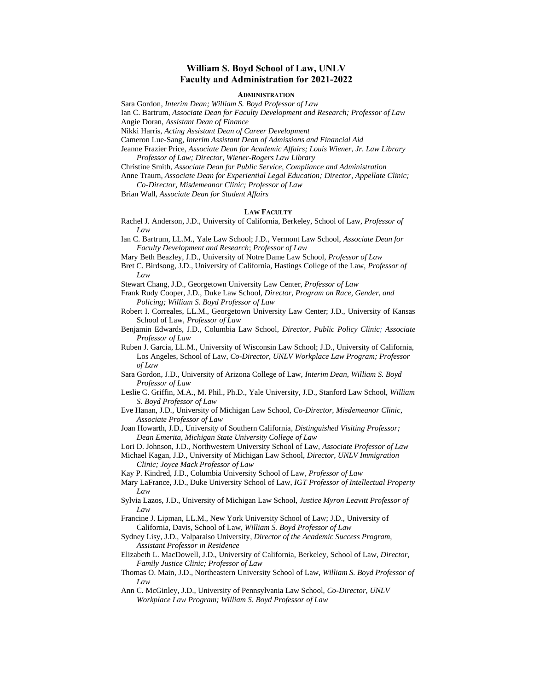# **William S. Boyd School of Law, UNLV Faculty and Administration for 2021-2022**

## **ADMINISTRATION**

Sara Gordon, *Interim Dean; William S. Boyd Professor of Law*

Ian C. Bartrum, *Associate Dean for Faculty Development and Research; Professor of Law* Angie Doran, *Assistant Dean of Finance*

Nikki Harris, *Acting Assistant Dean of Career Development*

Cameron Lue-Sang, *Interim Assistant Dean of Admissions and Financial Aid*

Jeanne Frazier Price, *Associate Dean for Academic Affairs; Louis Wiener, Jr. Law Library Professor of Law; Director, Wiener-Rogers Law Library*

Christine Smith, *Associate Dean for Public Service, Compliance and Administration*

Anne Traum, *Associate Dean for Experiential Legal Education; Director, Appellate Clinic; Co-Director, Misdemeanor Clinic; Professor of Law*

Brian Wall, *Associate Dean for Student Affairs*

#### **LAW FACULTY**

Rachel J. Anderson, J.D., University of California, Berkeley, School of Law, *Professor of Law*

Ian C. Bartrum, LL.M., Yale Law School; J.D., Vermont Law School, *Associate Dean for Faculty Development and Research*; *Professor of Law*

- Mary Beth Beazley, J.D., University of Notre Dame Law School, *Professor of Law*
- Bret C. Birdsong, J.D., University of California, Hastings College of the Law, *Professor of Law*

Stewart Chang, J.D., Georgetown University Law Center, *Professor of Law*

- Frank Rudy Cooper, J.D., Duke Law School, *Director, Program on Race, Gender, and Policing; William S. Boyd Professor of Law*
- Robert I. Correales, LL.M., Georgetown University Law Center; J.D., University of Kansas School of Law, *Professor of Law*
- Benjamin Edwards, J.D., Columbia Law School, *Director, Public Policy Clinic; Associate Professor of Law*
- Ruben J. Garcia, LL.M., University of Wisconsin Law School; J.D., University of California, Los Angeles, School of Law, *Co-Director, UNLV Workplace Law Program; Professor of Law*
- Sara Gordon, J.D., University of Arizona College of Law, *Interim Dean*, *William S. Boyd Professor of Law*
- Leslie C. Griffin, M.A., M. Phil., Ph.D., Yale University, J.D., Stanford Law School, *William S. Boyd Professor of Law*
- Eve Hanan, J.D., University of Michigan Law School, *Co-Director, Misdemeanor Clinic*, *Associate Professor of Law*
- Joan Howarth, J.D., University of Southern California*, Distinguished Visiting Professor; Dean Emerita, Michigan State University College of Law*
- Lori D. Johnson, J.D., Northwestern University School of Law, *Associate Professor of Law*
- Michael Kagan, J.D., University of Michigan Law School, *Director, UNLV Immigration Clinic; Joyce Mack Professor of Law*
- Kay P. Kindred, J.D., Columbia University School of Law*, Professor of Law*
- Mary LaFrance, J.D., Duke University School of Law, *IGT Professor of Intellectual Property Law*
- Sylvia Lazos, J.D., University of Michigan Law School, *Justice Myron Leavitt Professor of Law*
- Francine J. Lipman, LL.M., New York University School of Law; J.D., University of California, Davis, School of Law, *William S. Boyd Professor of Law*
- Sydney Lisy, J.D., Valparaiso University*, Director of the Academic Success Program, Assistant Professor in Residence*
- Elizabeth L. MacDowell, J.D., University of California, Berkeley, School of Law, *Director, Family Justice Clinic; Professor of Law*
- Thomas O. Main, J.D., Northeastern University School of Law, *William S. Boyd Professor of Law*
- Ann C. McGinley, J.D., University of Pennsylvania Law School, *Co-Director, UNLV Workplace Law Program; William S. Boyd Professor of Law*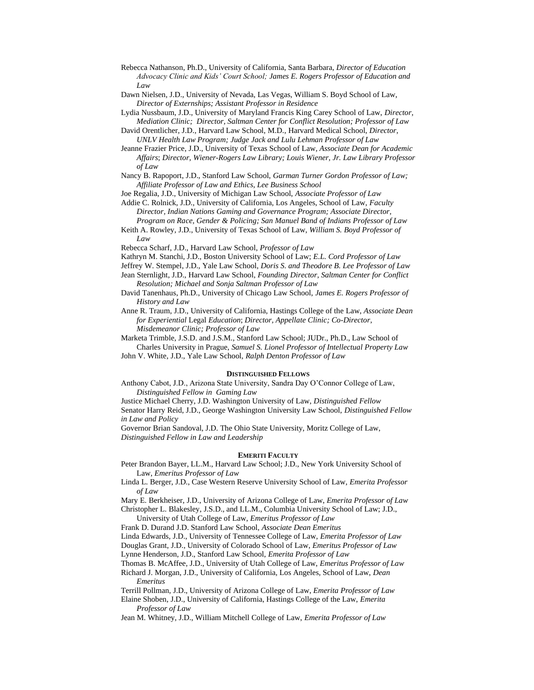- Rebecca Nathanson, Ph.D., University of California, Santa Barbara, *Director of Education Advocacy Clinic and Kids' Court School; James E. Rogers Professor of Education and Law*
- Dawn Nielsen, J.D., University of Nevada, Las Vegas, William S. Boyd School of Law, *Director of Externships; Assistant Professor in Residence*
- Lydia Nussbaum, J.D., University of Maryland Francis King Carey School of Law, *Director, Mediation Clinic; Director, Saltman Center for Conflict Resolution; Professor of Law*
- David Orentlicher, J.D., Harvard Law School, M.D., Harvard Medical School, *Director, UNLV Health Law Program; Judge Jack and Lulu Lehman Professor of Law*
- Jeanne Frazier Price, J.D., University of Texas School of Law*, Associate Dean for Academic Affairs*; *Director, Wiener-Rogers Law Library; Louis Wiener, Jr. Law Library Professor of Law*
- Nancy B. Rapoport, J.D., Stanford Law School, *Garman Turner Gordon Professor of Law; Affiliate Professor of Law and Ethics, Lee Business School*
- Joe Regalia, J.D., University of Michigan Law School, *Associate Professor of Law*

Addie C. Rolnick, J.D., University of California, Los Angeles, School of Law, *Faculty Director, Indian Nations Gaming and Governance Program; Associate Director,* 

*Program on Race, Gender & Policing; San Manuel Band of Indians Professor of Law* Keith A. Rowley, J.D., University of Texas School of Law, *William S. Boyd Professor of* 

*Law*

Rebecca Scharf, J.D., Harvard Law School, *Professor of Law*

Kathryn M. Stanchi, J.D., Boston University School of Law; *E.L. Cord Professor of Law*

Jeffrey W. Stempel, J.D., Yale Law School, *Doris S. and Theodore B. Lee Professor of Law*

- Jean Sternlight, J.D., Harvard Law School, *Founding Director, Saltman Center for Conflict Resolution; Michael and Sonja Saltman Professor of Law*
- David Tanenhaus, Ph.D., University of Chicago Law School, *James E. Rogers Professor of History and Law*

Anne R. Traum, J.D., University of California, Hastings College of the Law, *Associate Dean for Experiential* Legal *Education*; *Director, Appellate Clinic; Co-Director, Misdemeanor Clinic; Professor of Law*

Marketa Trimble, J.S.D. and J.S.M., Stanford Law School; JUDr., Ph.D., Law School of

Charles University in Prague, *Samuel S. Lionel Professor of Intellectual Property Law* John V. White, J.D., Yale Law School, *Ralph Denton Professor of Law*

#### **DISTINGUISHED FELLOWS**

Anthony Cabot, J.D., Arizona State University, Sandra Day O'Connor College of Law, *Distinguished Fellow in Gaming Law*

Justice Michael Cherry, J.D. Washington University of Law, *Distinguished Fellow* Senator Harry Reid, J.D., George Washington University Law School, *Distinguished Fellow in Law and Policy*

Governor Brian Sandoval, J.D. The Ohio State University, Moritz College of Law, *Distinguished Fellow in Law and Leadership*

## **EMERITI FACULTY**

Peter Brandon Bayer, LL.M., Harvard Law School; J.D., New York University School of Law, *Emeritus Professor of Law*

Linda L. Berger, J.D., Case Western Reserve University School of Law, *Emerita Professor of Law*

Mary E. Berkheiser, J.D., University of Arizona College of Law, *Emerita Professor of Law* Christopher L. Blakesley, J.S.D., and LL.M., Columbia University School of Law; J.D.,

University of Utah College of Law, *Emeritus Professor of Law*

Frank D. Durand J.D. Stanford Law School, *Associate Dean Emeritus*

Linda Edwards, J.D., University of Tennessee College of Law, *Emerita Professor of Law*

Douglas Grant, J.D., University of Colorado School of Law, *Emeritus Professor of Law*

Lynne Henderson, J.D., Stanford Law School, *Emerita Professor of Law* 

Thomas B. McAffee, J.D., University of Utah College of Law, *Emeritus Professor of Law*

Richard J. Morgan, J.D., University of California, Los Angeles, School of Law, *Dean Emeritus*

Terrill Pollman, J.D., University of Arizona College of Law, *Emerita Professor of Law*

Elaine Shoben, J.D., University of California, Hastings College of the Law, *Emerita Professor of Law*

Jean M. Whitney, J.D., William Mitchell College of Law, *Emerita Professor of Law*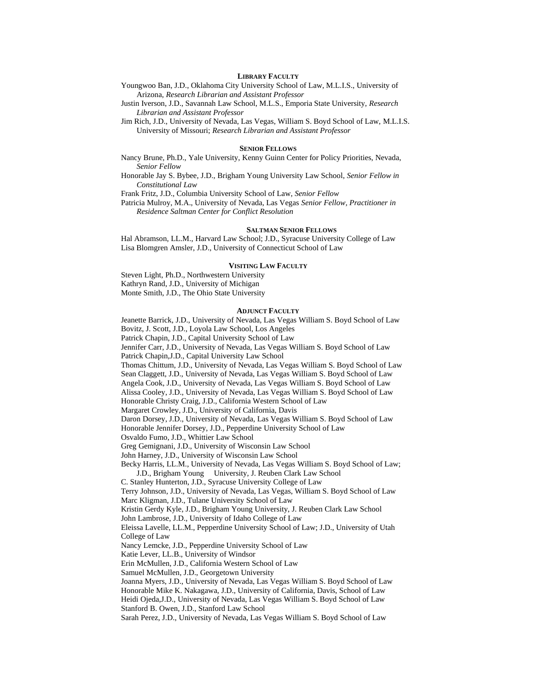#### **LIBRARY FACULTY**

Youngwoo Ban, J.D., Oklahoma City University School of Law, M.L.I.S., University of Arizona, *Research Librarian and Assistant Professor*

Justin Iverson, J.D., Savannah Law School, M.L.S., Emporia State University, *Research Librarian and Assistant Professor*

Jim Rich, J.D., University of Nevada, Las Vegas, William S. Boyd School of Law, M.L.I.S. University of Missouri; *Research Librarian and Assistant Professor*

#### **SENIOR FELLOWS**

Nancy Brune, Ph.D., Yale University, Kenny Guinn Center for Policy Priorities, Nevada, *Senior Fellow*

Honorable Jay S. Bybee, J.D., Brigham Young University Law School, *Senior Fellow in Constitutional Law*

Frank Fritz, J.D., Columbia University School of Law, *Senior Fellow*

Patricia Mulroy, M.A., University of Nevada, Las Vegas *Senior Fellow, Practitioner in Residence Saltman Center for Conflict Resolution*

### **SALTMAN SENIOR FELLOWS**

Hal Abramson, LL.M., Harvard Law School; J.D., Syracuse University College of Law Lisa Blomgren Amsler, J.D., University of Connecticut School of Law

#### **VISITING LAW FACULTY**

Steven Light, Ph.D., Northwestern University Kathryn Rand, J.D., University of Michigan

Monte Smith, J.D., The Ohio State University

## **ADJUNCT FACULTY**

Jeanette Barrick, J.D., University of Nevada, Las Vegas William S. Boyd School of Law Bovitz, J. Scott, J.D., Loyola Law School, Los Angeles

Patrick Chapin, J.D., Capital University School of Law

Jennifer Carr, J.D., University of Nevada, Las Vegas William S. Boyd School of Law Patrick Chapin,J.D., Capital University Law School

Thomas Chittum, J.D., University of Nevada, Las Vegas William S. Boyd School of Law Sean Claggett, J.D., University of Nevada, Las Vegas William S. Boyd School of Law

Angela Cook, J.D., University of Nevada, Las Vegas William S. Boyd School of Law

Alissa Cooley, J.D., University of Nevada, Las Vegas William S. Boyd School of Law

Honorable Christy Craig, J.D., California Western School of Law

Margaret Crowley, J.D., University of California, Davis

Daron Dorsey, J.D., University of Nevada, Las Vegas William S. Boyd School of Law

Honorable Jennifer Dorsey, J.D., Pepperdine University School of Law

Osvaldo Fumo, J.D., Whittier Law School

Greg Gemignani, J.D., University of Wisconsin Law School

John Harney, J.D., University of Wisconsin Law School

Becky Harris, LL.M., University of Nevada, Las Vegas William S. Boyd School of Law; J.D., Brigham Young University, J. Reuben Clark Law School

C. Stanley Hunterton, J.D., Syracuse University College of Law

Terry Johnson, J.D., University of Nevada, Las Vegas, William S. Boyd School of Law Marc Kligman, J.D., Tulane University School of Law

Kristin Gerdy Kyle, J.D., Brigham Young University, J. Reuben Clark Law School

John Lambrose, J.D., University of Idaho College of Law

Eleissa Lavelle, LL.M., Pepperdine University School of Law; J.D., University of Utah College of Law

Nancy Lemcke, J.D., Pepperdine University School of Law

Katie Lever, LL.B., University of Windsor

Erin McMullen, J.D., California Western School of Law

Samuel McMullen, J.D., Georgetown University

Joanna Myers, J.D., University of Nevada, Las Vegas William S. Boyd School of Law Honorable Mike K. Nakagawa, J.D., University of California, Davis, School of Law

Heidi Ojeda,J.D., University of Nevada, Las Vegas William S. Boyd School of Law Stanford B. Owen, J.D., Stanford Law School

Sarah Perez, J.D., University of Nevada, Las Vegas William S. Boyd School of Law